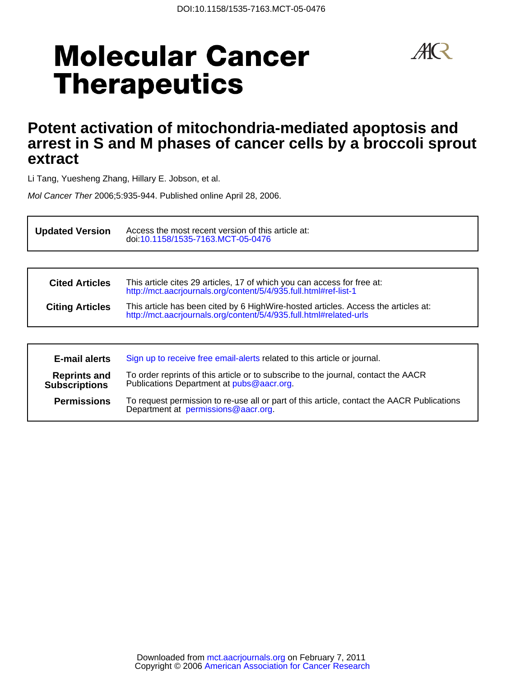# **Molecular Cancer Therapeutics**



# **extract arrest in S and M phases of cancer cells by a broccoli sprout Potent activation of mitochondria-mediated apoptosis and**

Li Tang, Yuesheng Zhang, Hillary E. Jobson, et al.

Mol Cancer Ther 2006;5:935-944. Published online April 28, 2006.

**Updated Version** Access the most recent version of this<br>doi[:10.1158/1535-7163.MCT-05-0476](http://mct.aacrjournals.org/lookup/doi/10.1158/1535-7163.MCT-05-0476) Access the most recent version of this article at:

| <b>Cited Articles</b>  | This article cites 29 articles, 17 of which you can access for free at:<br>http://mct.aacrjournals.org/content/5/4/935.full.html#ref-list-1              |  |  |
|------------------------|----------------------------------------------------------------------------------------------------------------------------------------------------------|--|--|
| <b>Citing Articles</b> | This article has been cited by 6 HighWire-hosted articles. Access the articles at:<br>http://mct.aacrjournals.org/content/5/4/935.full.html#related-urls |  |  |

| <b>E-mail alerts</b>                        | Sign up to receive free email-alerts related to this article or journal.                                                         |
|---------------------------------------------|----------------------------------------------------------------------------------------------------------------------------------|
| <b>Reprints and</b><br><b>Subscriptions</b> | To order reprints of this article or to subscribe to the journal, contact the AACR<br>Publications Department at pubs@aacr.org.  |
| <b>Permissions</b>                          | To request permission to re-use all or part of this article, contact the AACR Publications<br>Department at permissions@aacr.org |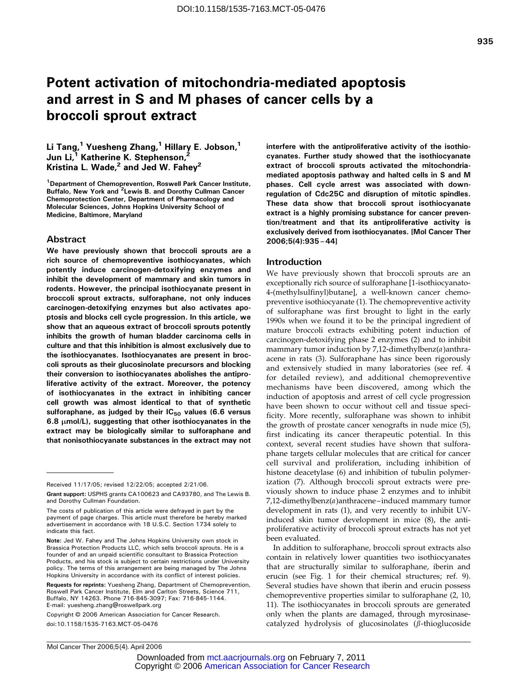# Potent activation of mitochondria-mediated apoptosis and arrest in S and M phases of cancer cells by a broccoli sprout extract

# Li Tang,<sup>1</sup> Yuesheng Zhang,<sup>1</sup> Hillary E. Jobson,<sup>1</sup> Jun Li,<sup>1</sup> Katherine K. Stephenson,<sup>2</sup> Kristina L. Wade, $^2$  and Jed W. Fahey<sup>2</sup>

<sup>1</sup>Department of Chemoprevention, Roswell Park Cancer Institute, Buffalo, New York and <sup>2</sup>Lewis B. and Dorothy Cullman Cancer Chemoprotection Center, Department of Pharmacology and Molecular Sciences, Johns Hopkins University School of Medicine, Baltimore, Maryland

# Abstract

We have previously shown that broccoli sprouts are a rich source of chemopreventive isothiocyanates, which potently induce carcinogen-detoxifying enzymes and inhibit the development of mammary and skin tumors in rodents. However, the principal isothiocyanate present in broccoli sprout extracts, sulforaphane, not only induces carcinogen-detoxifying enzymes but also activates apoptosis and blocks cell cycle progression. In this article, we show that an aqueous extract of broccoli sprouts potently inhibits the growth of human bladder carcinoma cells in culture and that this inhibition is almost exclusively due to the isothiocyanates. Isothiocyanates are present in broccoli sprouts as their glucosinolate precursors and blocking their conversion to isothiocyanates abolishes the antiproliferative activity of the extract. Moreover, the potency of isothiocyanates in the extract in inhibiting cancer cell growth was almost identical to that of synthetic sulforaphane, as judged by their  $IC_{50}$  values (6.6 versus 6.8  $\mu$ mol/L), suggesting that other isothiocyanates in the extract may be biologically similar to sulforaphane and that nonisothiocyanate substances in the extract may not

Copyright © 2006 American Association for Cancer Research. doi:10.1158/1535-7163.MCT-05-0476

interfere with the antiproliferative activity of the isothiocyanates.Further study showed that the isothiocyanate extract of broccoli sprouts activated the mitochondriamediated apoptosis pathway and halted cells in S and M phases. Cell cycle arrest was associated with downregulation of Cdc25C and disruption of mitotic spindles. These data show that broccoli sprout isothiocyanate extract is a highly promising substance for cancer prevention/treatment and that its antiproliferative activity is exclusively derived from isothiocyanates.[Mol Cancer Ther 2006;5(4):935–44]

## Introduction

We have previously shown that broccoli sprouts are an exceptionally rich source of sulforaphane [1-isothiocyanato-4-(methylsulfinyl)butane], a well-known cancer chemopreventive isothiocyanate (1). The chemopreventive activity of sulforaphane was first brought to light in the early 1990s when we found it to be the principal ingredient of mature broccoli extracts exhibiting potent induction of carcinogen-detoxifying phase 2 enzymes (2) and to inhibit mammary tumor induction by 7,12-dimethylbenz $(a)$ anthraacene in rats (3). Sulforaphane has since been rigorously and extensively studied in many laboratories (see ref. 4 for detailed review), and additional chemopreventive mechanisms have been discovered, among which the induction of apoptosis and arrest of cell cycle progression have been shown to occur without cell and tissue specificity. More recently, sulforaphane was shown to inhibit the growth of prostate cancer xenografts in nude mice (5), first indicating its cancer therapeutic potential. In this context, several recent studies have shown that sulforaphane targets cellular molecules that are critical for cancer cell survival and proliferation, including inhibition of histone deacetylase (6) and inhibition of tubulin polymerization (7). Although broccoli sprout extracts were previously shown to induce phase 2 enzymes and to inhibit 7,12-dimethylbenz(a)anthracene –induced mammary tumor development in rats (1), and very recently to inhibit UVinduced skin tumor development in mice (8), the antiproliferative activity of broccoli sprout extracts has not yet been evaluated.

In addition to sulforaphane, broccoli sprout extracts also contain in relatively lower quantities two isothiocyanates that are structurally similar to sulforaphane, iberin and erucin (see Fig. 1 for their chemical structures; ref. 9). Several studies have shown that iberin and erucin possess chemopreventive properties similar to sulforaphane (2, 10, 11). The isothiocyanates in broccoli sprouts are generated only when the plants are damaged, through myrosinasecatalyzed hydrolysis of glucosinolates ( $\beta$ -thioglucoside

Received 11/17/05; revised 12/22/05; accepted 2/21/06.

Grant support: USPHS grants CA100623 and CA93780, and The Lewis B. and Dorothy Cullman Foundation.

The costs of publication of this article were defrayed in part by the payment of page charges. This article must therefore be hereby marked advertisement in accordance with 18 U.S.C. Section 1734 solely to indicate this fact.

Note: Jed W. Fahey and The Johns Hopkins University own stock in Brassica Protection Products LLC, which sells broccoli sprouts. He is a founder of and an unpaid scientific consultant to Brassica Protection Products, and his stock is subject to certain restrictions under University policy. The terms of this arrangement are being managed by The Johns Hopkins University in accordance with its conflict of interest policies.

Requests for reprints: Yuesheng Zhang, Department of Chemoprevention, Roswell Park Cancer Institute, Elm and Carlton Streets, Science 711, Buffalo,NY 14263. Phone 716-845-3097; Fax: 716-845-1144. E-mail: yuesheng.zhang@roswellpark.org

Copyright © 2006 American Association for Cancer Research Downloaded fro[m mct.aacrjournals.org on February 7, 2011](http://www.aacr.org/)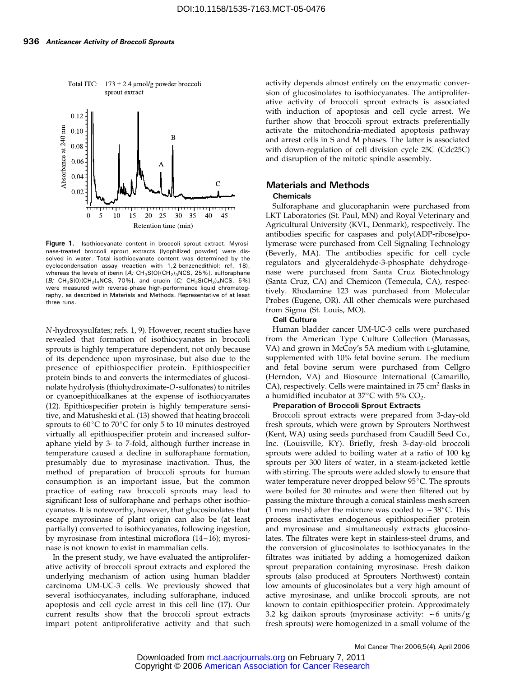

Total ITC:  $173 \pm 2.4$  µmol/g powder broccoli sprout extract

Figure 1. Isothiocyanate content in broccoli sprout extract. Myrosinase-treated broccoli sprout extracts (lyophilized powder) were dissolved in water. Total isothiocyanate content was determined by the cyclocondensation assay (reaction with 1,2-benzenedithiol; ref. 18), whereas the levels of iberin  $[A; CH_3S(0)(CH_2)_3NCS, 25\%]$ , sulforaphane  $[B; CH_3S(0)(CH_2)_4NCS, 70\%]$ , and erucin  $[C; CH_3S(CH_2)_4NCS, 5\%]$ were measured with reverse-phase high-performance liquid chromatography, as described in Materials and Methods. Representative of at least three runs.

N-hydroxysulfates; refs. 1, 9). However, recent studies have revealed that formation of isothiocyanates in broccoli sprouts is highly temperature dependent, not only because of its dependence upon myrosinase, but also due to the presence of epithiospecifier protein. Epithiospecifier protein binds to and converts the intermediates of glucosinolate hydrolysis (thiohydroximate-O-sulfonates) to nitriles or cyanoepithioalkanes at the expense of isothiocyanates (12). Epithiospecifier protein is highly temperature sensitive, and Matusheski et al. (13) showed that heating broccoli sprouts to  $60^{\circ}$ C to  $70^{\circ}$ C for only 5 to 10 minutes destroyed virtually all epithiospecifier protein and increased sulforaphane yield by 3- to 7-fold, although further increase in temperature caused a decline in sulforaphane formation, presumably due to myrosinase inactivation. Thus, the method of preparation of broccoli sprouts for human consumption is an important issue, but the common practice of eating raw broccoli sprouts may lead to significant loss of sulforaphane and perhaps other isothiocyanates. It is noteworthy, however, that glucosinolates that escape myrosinase of plant origin can also be (at least partially) converted to isothiocyanates, following ingestion, by myrosinase from intestinal microflora (14-16); myrosinase is not known to exist in mammalian cells.

In the present study, we have evaluated the antiproliferative activity of broccoli sprout extracts and explored the underlying mechanism of action using human bladder carcinoma UM-UC-3 cells. We previously showed that several isothiocyanates, including sulforaphane, induced apoptosis and cell cycle arrest in this cell line (17). Our current results show that the broccoli sprout extracts impart potent antiproliferative activity and that such

activity depends almost entirely on the enzymatic conversion of glucosinolates to isothiocyanates. The antiproliferative activity of broccoli sprout extracts is associated with induction of apoptosis and cell cycle arrest. We further show that broccoli sprout extracts preferentially activate the mitochondria-mediated apoptosis pathway and arrest cells in S and M phases. The latter is associated with down-regulation of cell division cycle 25C (Cdc25C) and disruption of the mitotic spindle assembly.

# Materials and Methods

#### **Chemicals**

Sulforaphane and glucoraphanin were purchased from LKT Laboratories (St. Paul, MN) and Royal Veterinary and Agricultural University (KVL, Denmark), respectively. The antibodies specific for caspases and poly(ADP-ribose)polymerase were purchased from Cell Signaling Technology (Beverly, MA). The antibodies specific for cell cycle regulators and glyceraldehyde-3-phosphate dehydrogenase were purchased from Santa Cruz Biotechnology (Santa Cruz, CA) and Chemicon (Temecula, CA), respectively. Rhodamine 123 was purchased from Molecular Probes (Eugene, OR). All other chemicals were purchased from Sigma (St. Louis, MO).

#### Cell Culture

Human bladder cancer UM-UC-3 cells were purchased from the American Type Culture Collection (Manassas, VA) and grown in McCoy's 5A medium with L-glutamine, supplemented with 10% fetal bovine serum. The medium and fetal bovine serum were purchased from Cellgro (Herndon, VA) and Biosource International (Camarillo, CA), respectively. Cells were maintained in  $75 \text{ cm}^2$  flasks in a humidified incubator at  $37^{\circ}$ C with 5% CO<sub>2</sub>.

#### Preparation of Broccoli Sprout Extracts

Broccoli sprout extracts were prepared from 3-day-old fresh sprouts, which were grown by Sprouters Northwest (Kent, WA) using seeds purchased from Caudill Seed Co., Inc. (Louisville, KY). Briefly, fresh 3-day-old broccoli sprouts were added to boiling water at a ratio of 100 kg sprouts per 300 liters of water, in a steam-jacketed kettle with stirring. The sprouts were added slowly to ensure that water temperature never dropped below 95°C. The sprouts were boiled for 30 minutes and were then filtered out by passing the mixture through a conical stainless mesh screen (1 mm mesh) after the mixture was cooled to  $\sim$  38 $^{\circ}$ C. This process inactivates endogenous epithiospecifier protein and myrosinase and simultaneously extracts glucosinolates. The filtrates were kept in stainless-steel drums, and the conversion of glucosinolates to isothiocyanates in the filtrates was initiated by adding a homogenized daikon sprout preparation containing myrosinase. Fresh daikon sprouts (also produced at Sprouters Northwest) contain low amounts of glucosinolates but a very high amount of active myrosinase, and unlike broccoli sprouts, are not known to contain epithiospecifier protein. Approximately 3.2 kg daikon sprouts (myrosinase activity:  $\sim$  6 units/g fresh sprouts) were homogenized in a small volume of the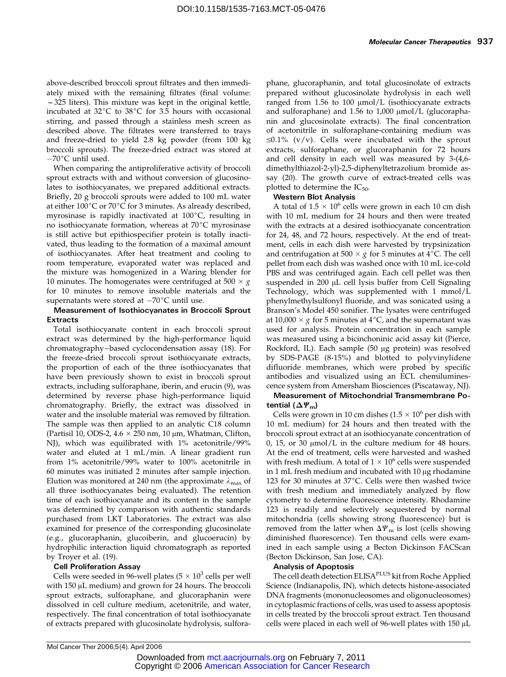above-described broccoli sprout filtrates and then immediately mixed with the remaining filtrates (final volume:  $\sim$  325 liters). This mixture was kept in the original kettle, incubated at  $32^{\circ}$ C to  $38^{\circ}$ C for 3.5 hours with occasional stirring, and passed through a stainless mesh screen as described above. The filtrates were transferred to trays and freeze-dried to yield 2.8 kg powder (from 100 kg broccoli sprouts). The freeze-dried extract was stored at  $-70$ °C until used.

When comparing the antiproliferative activity of broccoli sprout extracts with and without conversion of glucosinolates to isothiocyanates, we prepared additional extracts. Briefly, 20 g broccoli sprouts were added to 100 mL water at either  $100^{\circ}$ C or  $70^{\circ}$ C for 3 minutes. As already described, myrosinase is rapidly inactivated at  $100^{\circ}$ C, resulting in no isothiocyanate formation, whereas at  $70^{\circ}$ C myrosinase is still active but epithiospecifier protein is totally inactivated, thus leading to the formation of a maximal amount of isothiocyanates. After heat treatment and cooling to room temperature, evaporated water was replaced and the mixture was homogenized in a Waring blender for 10 minutes. The homogenates were centrifuged at 500  $\times$ for 10 minutes to remove insoluble materials and the supernatants were stored at  $-70^{\circ}$ C until use.

#### Measurement of Isothiocyanates in Broccoli Sprout Extracts

Total isothiocyanate content in each broccoli sprout extract was determined by the high-performance liquid chromatography –based cyclocondensation assay (18). For the freeze-dried broccoli sprout isothiocyanate extracts, the proportion of each of the three isothiocyanates that have been previously shown to exist in broccoli sprout extracts, including sulforaphane, iberin, and erucin (9), was determined by reverse phase high-performance liquid chromatography. Briefly, the extract was dissolved in water and the insoluble material was removed by filtration. The sample was then applied to an analytic C18 column (Partisil 10, ODS-2,  $4.6 \times 250$  nm, 10  $\mu$ m, Whatman, Clifton, NJ), which was equilibrated with 1% acetonitrile/99% water and eluted at 1 mL/min. A linear gradient run from 1% acetonitrile/99% water to 100% acetonitrile in 60 minutes was initiated 2 minutes after sample injection. Elution was monitored at 240 nm (the approximate  $\lambda_{\text{max}}$  of all three isothiocyanates being evaluated). The retention time of each isothiocyanate and its content in the sample was determined by comparison with authentic standards purchased from LKT Laboratories. The extract was also examined for presence of the corresponding glucosinolate (e.g., glucoraphanin, glucoiberin, and glucoerucin) by hydrophilic interaction liquid chromatograph as reported by Troyer et al. (19).

### Cell Proliferation Assay

Cells were seeded in 96-well plates ( $5 \times 10^3$  cells per well with  $150 \mu L$  medium) and grown for 24 hours. The broccoli sprout extracts, sulforaphane, and glucoraphanin were dissolved in cell culture medium, acetonitrile, and water, respectively. The final concentration of total isothiocyanate of extracts prepared with glucosinolate hydrolysis, sulforaphane, glucoraphanin, and total glucosinolate of extracts prepared without glucosinolate hydrolysis in each well ranged from  $1.56$  to  $100 \mu \text{mol/L}$  (isothiocyanate extracts and sulforaphane) and  $1.56$  to  $1,000 \mu$ mol/L (glucoraphanin and glucosinolate extracts). The final concentration of acetonitrile in sulforaphane-containing medium was  $\leq 0.1\%$  (v/v). Cells were incubated with the sprout extracts, sulforaphane, or glucoraphanin for 72 hours and cell density in each well was measured by 3-(4,6 dimethylthiazol-2-yl)-2,5-diphenyltetrazolium bromide assay (20). The growth curve of extract-treated cells was plotted to determine the  $IC_{50}$ .

#### Western Blot Analysis

A total of  $1.5 \times 10^6$  cells were grown in each 10 cm dish with 10 mL medium for 24 hours and then were treated with the extracts at a desired isothiocyanate concentration for 24, 48, and 72 hours, respectively. At the end of treatment, cells in each dish were harvested by trypsinization and centrifugation at  $500 \times g$  for 5 minutes at  $4^{\circ}$ C. The cell<br>pellet from each dish was washed once with 10 mL ice-cold pellet from each dish was washed once with 10 mL ice-cold PBS and was centrifuged again. Each cell pellet was then suspended in 200 µL cell lysis buffer from Cell Signaling Technology, which was supplemented with 1 mmol/L phenylmethylsulfonyl fluoride, and was sonicated using a Branson's Model 450 sonifier. The lysates were centrifuged at  $10,000 \times g$  for 5 minutes at  $4^{\circ}$ C, and the supernatant was<br>used, for analysis. Protein concentration in each sample used for analysis. Protein concentration in each sample was measured using a bicinchoninic acid assay kit (Pierce, Rockford, IL). Each sample (50 µg protein) was resolved by SDS-PAGE (8-15%) and blotted to polyvinylidene difluoride membranes, which were probed by specific antibodies and visualized using an ECL chemiluminescence system from Amersham Biosciences (Piscataway, NJ).

Measurement of Mitochondrial Transmembrane Potential  $(\Delta \Psi_{\rm m})$ 

Cells were grown in 10 cm dishes ( $1.5 \times 10^6$  per dish with 10 mL medium) for 24 hours and then treated with the broccoli sprout extract at an isothiocyanate concentration of  $0$ , 15, or 30  $\mu$ mol/L in the culture medium for 48 hours. At the end of treatment, cells were harvested and washed with fresh medium. A total of  $1 \times 10^6$  cells were suspended in 1 mL fresh medium and incubated with  $10 \mu$ g rhodamine 123 for 30 minutes at  $37^{\circ}$ C. Cells were then washed twice with fresh medium and immediately analyzed by flow cytometry to determine fluorescence intensity. Rhodamine 123 is readily and selectively sequestered by normal mitochondria (cells showing strong fluorescence) but is removed from the latter when  $\Delta \Psi_{\text{m}}$  is lost (cells showing diminished fluorescence). Ten thousand cells were examined in each sample using a Becton Dickinson FACScan (Becton Dickinson, San Jose, CA).

#### Analysis of Apoptosis

The cell death detection ELISAPLUS kit from Roche Applied Science (Indianapolis, IN), which detects histone-associated DNA fragments (mononucleosomes and oligonucleosomes) in cytoplasmic fractions of cells, was used to assess apoptosis in cells treated by the broccoli sprout extract. Ten thousand cells were placed in each well of 96-well plates with  $150 \mu L$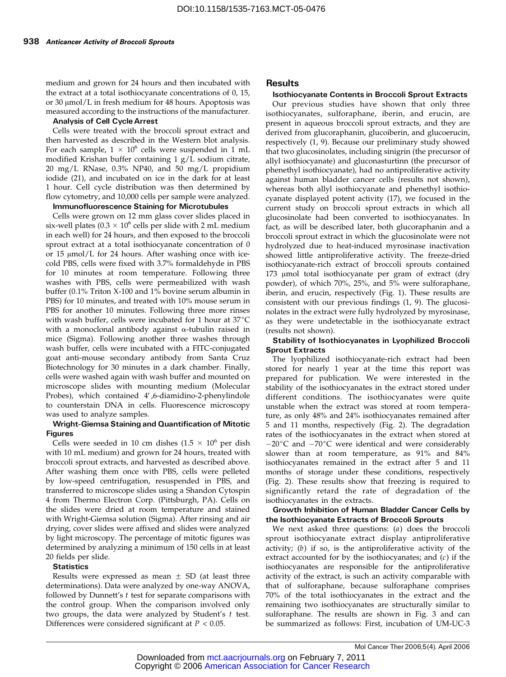medium and grown for 24 hours and then incubated with the extract at a total isothiocyanate concentrations of 0, 15, or 30 µmol/L in fresh medium for 48 hours. Apoptosis was measured according to the instructions of the manufacturer.

#### Analysis of Cell Cycle Arrest

Cells were treated with the broccoli sprout extract and then harvested as described in the Western blot analysis. For each sample,  $1 \times 10^6$  cells were suspended in 1 mL modified Krishan buffer containing  $1 g/L$  sodium citrate, 20 mg/L RNase, 0.3% NP40, and 50 mg/L propidium iodide (21), and incubated on ice in the dark for at least 1 hour. Cell cycle distribution was then determined by flow cytometry, and 10,000 cells per sample were analyzed.

# Immunofluorescence Staining for Microtubules

Cells were grown on 12 mm glass cover slides placed in six-well plates ( $0.3 \times 10^6$  cells per slide with 2 mL medium in each well) for 24 hours, and then exposed to the broccoli sprout extract at a total isothiocyanate concentration of 0 or 15  $\mu$ mol/L for 24 hours. After washing once with icecold PBS, cells were fixed with 3.7% formaldehyde in PBS for 10 minutes at room temperature. Following three washes with PBS, cells were permeabilized with wash buffer (0.1% Triton X-100 and 1% bovine serum albumin in PBS) for 10 minutes, and treated with 10% mouse serum in PBS for another 10 minutes. Following three more rinses with wash buffer, cells were incubated for 1 hour at  $37^{\circ}$ C with a monoclonal antibody against  $\alpha$ -tubulin raised in mice (Sigma). Following another three washes through wash buffer, cells were incubated with a FITC-conjugated goat anti-mouse secondary antibody from Santa Cruz Biotechnology for 30 minutes in a dark chamber. Finally, cells were washed again with wash buffer and mounted on microscope slides with mounting medium (Molecular Probes), which contained 4',6-diamidino-2-phenylindole to counterstain DNA in cells. Fluorescence microscopy was used to analyze samples.

#### Wright-Giemsa Staining and Quantification of Mitotic Figures

Cells were seeded in 10 cm dishes  $(1.5 \times 10^6 \text{ per dish})$ with 10 mL medium) and grown for 24 hours, treated with broccoli sprout extracts, and harvested as described above. After washing them once with PBS, cells were pelleted by low-speed centrifugation, resuspended in PBS, and transferred to microscope slides using a Shandon Cytospin 4 from Thermo Electron Corp. (Pittsburgh, PA). Cells on the slides were dried at room temperature and stained with Wright-Giemsa solution (Sigma). After rinsing and air drying, cover slides were affixed and slides were analyzed by light microscopy. The percentage of mitotic figures was determined by analyzing a minimum of 150 cells in at least 20 fields per slide.

#### **Statistics**

Results were expressed as mean  $\pm$  SD (at least three determinations). Data were analyzed by one-way ANOVA, followed by Dunnett's  $t$  test for separate comparisons with the control group. When the comparison involved only two groups, the data were analyzed by Student's  $t$  test. Differences were considered significant at  $P < 0.05$ .

#### Results

#### Isothiocyanate Contents in Broccoli Sprout Extracts

Our previous studies have shown that only three isothiocyanates, sulforaphane, iberin, and erucin, are present in aqueous broccoli sprout extracts, and they are derived from glucoraphanin, glucoiberin, and glucoerucin, respectively (1, 9). Because our preliminary study showed that two glucosinolates, including sinigrin (the precursor of allyl isothiocyanate) and gluconasturtinn (the precursor of phenethyl isothiocyanate), had no antiproliferative activity against human bladder cancer cells (results not shown), whereas both allyl isothiocyanate and phenethyl isothiocyanate displayed potent activity (17), we focused in the current study on broccoli sprout extracts in which all glucosinolate had been converted to isothiocyanates. In fact, as will be described later, both glucoraphanin and a broccoli sprout extract in which the glucosinolate were not hydrolyzed due to heat-induced myrosinase inactivation showed little antiproliferative activity. The freeze-dried isothiocyanate-rich extract of broccoli sprouts contained 173 µmol total isothiocyanate per gram of extract (dry powder), of which 70%, 25%, and 5% were sulforaphane, iberin, and erucin, respectively (Fig. 1). These results are consistent with our previous findings (1, 9). The glucosinolates in the extract were fully hydrolyzed by myrosinase, as they were undetectable in the isothiocyanate extract (results not shown).

#### Stability of Isothiocyanates in Lyophilized Broccoli Sprout Extracts

The lyophilized isothiocyanate-rich extract had been stored for nearly 1 year at the time this report was prepared for publication. We were interested in the stability of the isothiocyanates in the extract stored under different conditions. The isothiocyanates were quite unstable when the extract was stored at room temperature, as only 48% and 24% isothiocyanates remained after 5 and 11 months, respectively (Fig. 2). The degradation rates of the isothiocyanates in the extract when stored at  $-20^{\circ}$ C and  $-70^{\circ}$ C were identical and were considerably slower than at room temperature, as 91% and 84% isothiocyanates remained in the extract after 5 and 11 months of storage under these conditions, respectively (Fig. 2). These results show that freezing is required to significantly retard the rate of degradation of the isothiocyanates in the extracts.

#### Growth Inhibition of Human Bladder Cancer Cells by the Isothiocyanate Extracts of Broccoli Sprouts

We next asked three questions: (a) does the broccoli sprout isothiocyanate extract display antiproliferative activity; (b) if so, is the antiproliferative activity of the extract accounted for by the isothiocyanates; and  $(c)$  if the isothiocyanates are responsible for the antiproliferative activity of the extract, is such an activity comparable with that of sulforaphane, because sulforaphane comprises 70% of the total isothiocyanates in the extract and the remaining two isothiocyanates are structurally similar to sulforaphane. The results are shown in Fig. 3 and can be summarized as follows: First, incubation of UM-UC-3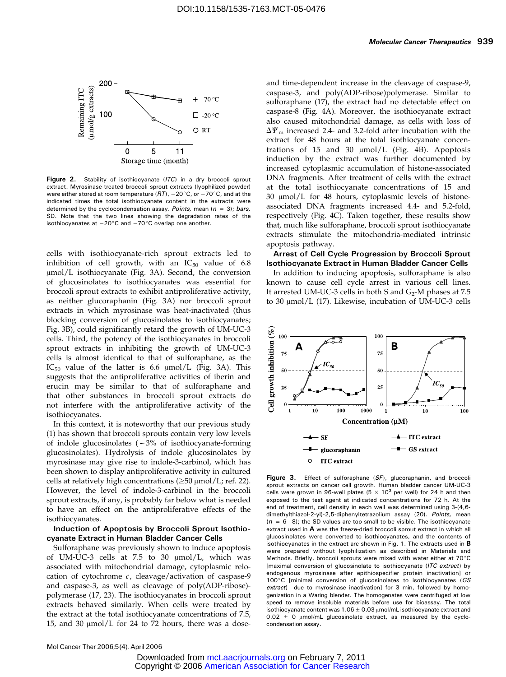

Figure 2. Stability of isothiocyanate (ITC) in a dry broccoli sprout extract. Myrosinase-treated broccoli sprout extracts (lyophilized powder) were either stored at room temperature ( $RT$ ),  $-20^{\circ}$ C, or  $-70^{\circ}$ C, and at the indicated times the total isothiocyanate content in the extracts were determined by the cyclocondensation assay. Points, mean ( $n = 3$ ); bars, SD. Note that the two lines showing the degradation rates of the isothiocyanates at  $-20^{\circ}$ C and  $-70^{\circ}$ C overlap one another.

cells with isothiocyanate-rich sprout extracts led to inhibition of cell growth, with an  $IC_{50}$  value of 6.8 µmol/L isothiocyanate (Fig. 3A). Second, the conversion of glucosinolates to isothiocyanates was essential for broccoli sprout extracts to exhibit antiproliferative activity, as neither glucoraphanin (Fig. 3A) nor broccoli sprout extracts in which myrosinase was heat-inactivated (thus blocking conversion of glucosinolates to isothiocyanates; Fig. 3B), could significantly retard the growth of UM-UC-3 cells. Third, the potency of the isothiocyanates in broccoli sprout extracts in inhibiting the growth of UM-UC-3 cells is almost identical to that of sulforaphane, as the IC<sub>50</sub> value of the latter is 6.6  $\mu$ mol/L (Fig. 3A). This suggests that the antiproliferative activities of iberin and erucin may be similar to that of sulforaphane and that other substances in broccoli sprout extracts do not interfere with the antiproliferative activity of the isothiocyanates.

In this context, it is noteworthy that our previous study (1) has shown that broccoli sprouts contain very low levels of indole glucosinolates  $(-3% )$  of isothiocyanate-forming glucosinolates). Hydrolysis of indole glucosinolates by myrosinase may give rise to indole-3-carbinol, which has been shown to display antiproliferative activity in cultured cells at relatively high concentrations ( $\geq$ 50  $\mu$ mol/L; ref. 22). However, the level of indole-3-carbinol in the broccoli sprout extracts, if any, is probably far below what is needed to have an effect on the antiproliferative effects of the isothiocyanates.

#### Induction of Apoptosis by Broccoli Sprout Isothiocyanate Extract in Human Bladder Cancer Cells

Sulforaphane was previously shown to induce apoptosis of UM-UC-3 cells at 7.5 to 30  $\mu$ mol/L, which was associated with mitochondrial damage, cytoplasmic relocation of cytochrome  $c$ , cleavage/activation of caspase-9 and caspase-3, as well as cleavage of poly(ADP-ribose) polymerase (17, 23). The isothiocyanates in broccoli sprout extracts behaved similarly. When cells were treated by the extract at the total isothiocyanate concentrations of 7.5, 15, and 30  $\mu$ mol/L for 24 to 72 hours, there was a doseand time-dependent increase in the cleavage of caspase-9, caspase-3, and poly(ADP-ribose)polymerase. Similar to sulforaphane (17), the extract had no detectable effect on caspase-8 (Fig. 4A). Moreover, the isothiocyanate extract also caused mitochondrial damage, as cells with loss of  $\Delta\Psi_{\rm m}$  increased 2.4- and 3.2-fold after incubation with the extract for 48 hours at the total isothiocyanate concentrations of  $15$  and  $30 \mu \text{mol/L}$  (Fig. 4B). Apoptosis induction by the extract was further documented by increased cytoplasmic accumulation of histone-associated DNA fragments. After treatment of cells with the extract at the total isothiocyanate concentrations of 15 and  $30 \mu$ mol/L for 48 hours, cytoplasmic levels of histoneassociated DNA fragments increased 4.4- and 5.2-fold, respectively (Fig. 4C). Taken together, these results show that, much like sulforaphane, broccoli sprout isothiocyanate extracts stimulate the mitochondria-mediated intrinsic apoptosis pathway.

Arrest of Cell Cycle Progression by Broccoli Sprout Isothiocyanate Extract in Human Bladder Cancer Cells

In addition to inducing apoptosis, sulforaphane is also known to cause cell cycle arrest in various cell lines. It arrested UM-UC-3 cells in both S and  $G_2$ -M phases at 7.5 to 30  $\mu$ mol/L (17). Likewise, incubation of UM-UC-3 cells



Figure 3. Effect of sulforaphane (SF), glucoraphanin, and broccoli sprout extracts on cancer cell growth. Human bladder cancer UM-UC-3 cells were grown in 96-well plates (5  $\times$  10<sup>3</sup> per well) for 24 h and then exposed to the test agent at indicated concentrations for 72 h. At the end of treatment, cell density in each well was determined using 3-(4,6dimethylthiazol-2-yl)-2,5-diphenyltetrazolium assay (20). Points, mean  $(n = 6-8)$ ; the SD values are too small to be visible. The isothiocyanate extract used in  $\bf{A}$  was the freeze-dried broccoli sprout extract in which all glucosinolates were converted to isothiocyanates, and the contents of isothiocyanates in the extract are shown in Fig. 1. The extracts used in **B** were prepared without lyophilization as described in Materials and Methods. Briefly, broccoli sprouts were mixed with water either at  $70^{\circ}$ C [maximal conversion of glucosinolate to isothiocyanate (ITC extract) by endogenous myrosinase after epithiospecifier protein inactivation] or  $100^{\circ}$ C [minimal conversion of glucosinolates to isothiocyanates (GS extract) due to myrosinase inactivation] for 3 min, followed by homogenization in a Waring blender. The homogenates were centrifuged at low speed to remove insoluble materials before use for bioassay. The total isothiocyanate content was  $1.06 \pm 0.03$   $\mu$ mol/mL isothiocyanate extract and  $0.02 \pm 0$  µmol/mL glucosinolate extract, as measured by the cyclocondensation assay.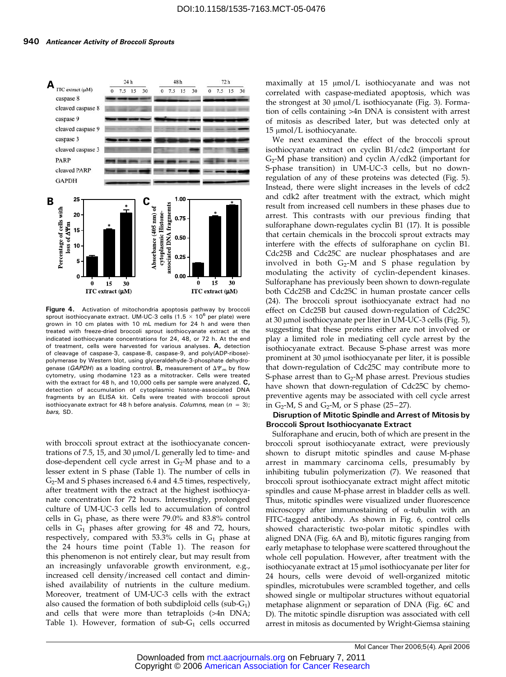

Figure 4. Activation of mitochondria apoptosis pathway by broccoli sprout isothiocyanate extract. UM-UC-3 cells (1.5  $\times$  10<sup>6</sup> per plate) were grown in 10 cm plates with 10 mL medium for 24 h and were then treated with freeze-dried broccoli sprout isothiocyanate extract at the indicated isothiocyanate concentrations for 24, 48, or 72 h. At the end of treatment, cells were harvested for various analyses.  $A$ , detection of cleavage of caspase-3, caspase-8, caspase-9, and poly(ADP-ribose)polymerase by Western blot, using glyceraldehyde-3-phosphate dehydrogenase (GAPDH) as a loading control. **B**, measurement of  $\Delta \Psi_m$  by flow cytometry, using rhodamine 123 as a mitotracker. Cells were treated with the extract for 48 h, and 10,000 cells per sample were analyzed.  $C$ , detection of accumulation of cytoplasmic histone-associated DNA fragments by an ELISA kit. Cells were treated with broccoli sprout isothiocyanate extract for 48 h before analysis. Columns, mean  $(n = 3)$ ; bars, SD.

with broccoli sprout extract at the isothiocyanate concentrations of 7.5, 15, and 30  $\mu$ mol/L generally led to time- and dose-dependent cell cycle arrest in  $G_2$ -M phase and to a lesser extent in S phase (Table 1). The number of cells in  $G<sub>2</sub>$ -M and S phases increased 6.4 and 4.5 times, respectively, after treatment with the extract at the highest isothiocyanate concentration for 72 hours. Interestingly, prolonged culture of UM-UC-3 cells led to accumulation of control cells in  $G_1$  phase, as there were 79.0% and 83.8% control cells in  $G_1$  phases after growing for 48 and 72, hours, respectively, compared with 53.3% cells in  $G_1$  phase at the 24 hours time point (Table 1). The reason for this phenomenon is not entirely clear, but may result from an increasingly unfavorable growth environment, e.g., increased cell density/increased cell contact and diminished availability of nutrients in the culture medium. Moreover, treatment of UM-UC-3 cells with the extract also caused the formation of both subdiploid cells (sub- $G_1$ ) and cells that were more than tetraploids (>4n DNA; Table 1). However, formation of sub- $G_1$  cells occurred maximally at  $15 \text{ }\mu\text{mol/L}$  isothiocyanate and was not correlated with caspase-mediated apoptosis, which was the strongest at 30  $\mu$ mol/L isothiocyanate (Fig. 3). Formation of cells containing >4n DNA is consistent with arrest of mitosis as described later, but was detected only at  $15 \mu$ mol/L isothiocyanate.

We next examined the effect of the broccoli sprout isothiocyanate extract on cyclin B1/cdc2 (important for  $G_2$ -M phase transition) and cyclin  $A$ /cdk2 (important for S-phase transition) in UM-UC-3 cells, but no downregulation of any of these proteins was detected (Fig. 5). Instead, there were slight increases in the levels of cdc2 and cdk2 after treatment with the extract, which might result from increased cell numbers in these phases due to arrest. This contrasts with our previous finding that sulforaphane down-regulates cyclin B1 (17). It is possible that certain chemicals in the broccoli sprout extracts may interfere with the effects of sulforaphane on cyclin B1. Cdc25B and Cdc25C are nuclear phosphatases and are involved in both  $G_2$ -M and S phase regulation by modulating the activity of cyclin-dependent kinases. Sulforaphane has previously been shown to down-regulate both Cdc25B and Cdc25C in human prostate cancer cells (24). The broccoli sprout isothiocyanate extract had no effect on Cdc25B but caused down-regulation of Cdc25C at 30  $\mu$ mol isothiocyanate per liter in UM-UC-3 cells (Fig. 5), suggesting that these proteins either are not involved or play a limited role in mediating cell cycle arrest by the isothiocyanate extract. Because S-phase arrest was more prominent at 30 µmol isothiocyanate per liter, it is possible that down-regulation of Cdc25C may contribute more to S-phase arrest than to  $G_2$ -M phase arrest. Previous studies have shown that down-regulation of Cdc25C by chemopreventive agents may be associated with cell cycle arrest in  $G_2$ -M, S and  $G_2$ -M, or S phase (25–27).

#### Disruption of Mitotic Spindle and Arrest of Mitosis by Broccoli Sprout Isothiocyanate Extract

Sulforaphane and erucin, both of which are present in the broccoli sprout isothiocyanate extract, were previously shown to disrupt mitotic spindles and cause M-phase arrest in mammary carcinoma cells, presumably by inhibiting tubulin polymerization (7). We reasoned that broccoli sprout isothiocyanate extract might affect mitotic spindles and cause M-phase arrest in bladder cells as well. Thus, mitotic spindles were visualized under fluorescence microscopy after immunostaining of  $\alpha$ -tubulin with an FITC-tagged antibody. As shown in Fig. 6, control cells showed characteristic two-polar mitotic spindles with aligned DNA (Fig. 6A and B), mitotic figures ranging from early metaphase to telophase were scattered throughout the whole cell population. However, after treatment with the isothiocyanate extract at 15 µmol isothiocyanate per liter for 24 hours, cells were devoid of well-organized mitotic spindles, microtubules were scrambled together, and cells showed single or multipolar structures without equatorial metaphase alignment or separation of DNA (Fig. 6C and D). The mitotic spindle disruption was associated with cell arrest in mitosis as documented by Wright-Giemsa staining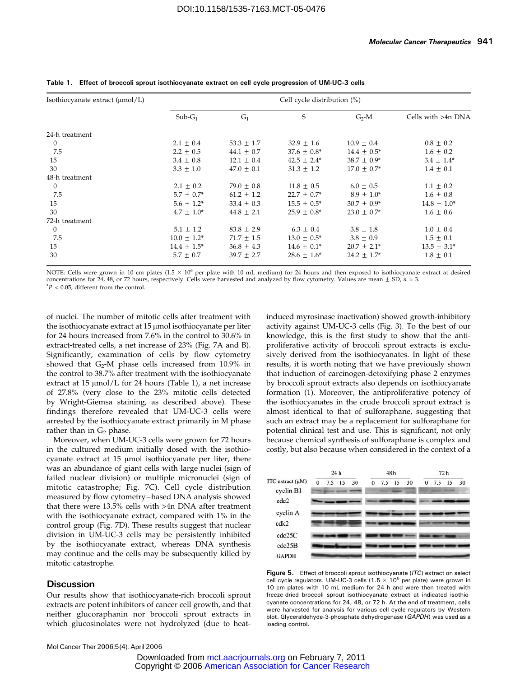| Isothiocyanate extract (µmol/L) | Cell cycle distribution (%) |                |                  |                  |                    |  |
|---------------------------------|-----------------------------|----------------|------------------|------------------|--------------------|--|
|                                 | $Sub-G_1$                   | G <sub>1</sub> | S                | $G_2$ -M         | Cells with >4n DNA |  |
| 24-h treatment                  |                             |                |                  |                  |                    |  |
| $\boldsymbol{0}$                | $2.1 \pm 0.4$               | 53.3 $\pm$ 1.7 | $32.9 \pm 1.6$   | $10.9 \pm 0.4$   | $0.8 \pm 0.2$      |  |
| 7.5                             | $2.2 \pm 0.5$               | $44.1 \pm 0.7$ | $37.6 \pm 0.8^*$ | $14.4 \pm 0.5^*$ | $1.6 \pm 0.2$      |  |
| 15                              | $3.4 \pm 0.8$               | $12.1 + 0.4$   | $42.5 \pm 2.4^*$ | $38.7 \pm 0.9*$  | $3.4 \pm 1.4^*$    |  |
| 30                              | $3.3 + 1.0$                 | $47.0 + 0.1$   | $31.3 \pm 1.2$   | $17.0 + 0.7*$    | $1.4 \pm 0.1$      |  |
| 48-h treatment                  |                             |                |                  |                  |                    |  |
| $\boldsymbol{0}$                | $2.1 \pm 0.2$               | 79.0 $\pm$ 0.8 | $11.8 \pm 0.5$   | $6.0 \pm 0.5$    | $1.1 \pm 0.2$      |  |
| 7.5                             | $5.7 \pm 0.7^*$             | $61.2 \pm 1.2$ | $22.7 \pm 0.7^*$ | $8.9 \pm 1.0^*$  | $1.6 \pm 0.8$      |  |
| 15                              | $5.6 \pm 1.2^*$             | $33.4 \pm 0.3$ | $15.5 \pm 0.5^*$ | $30.7 \pm 0.9*$  | $14.8 \pm 1.0^*$   |  |
| 30                              | $4.7 + 1.0*$                | $44.8 \pm 2.1$ | $25.9 + 0.8^*$   | $23.0 \pm 0.7^*$ | $1.6 \pm 0.6$      |  |
| 72-h treatment                  |                             |                |                  |                  |                    |  |
| $\theta$                        | $5.1 \pm 1.2$               | $83.8 \pm 2.9$ | $6.3 \pm 0.4$    | $3.8 \pm 1.8$    | $1.0 \pm 0.4$      |  |
| 7.5                             | $10.0 \pm 1.2^*$            | $71.7 \pm 1.5$ | $13.0 \pm 0.5^*$ | $3.8 \pm 0.9$    | $1.5 \pm 0.1$      |  |
| 15                              | $14.4 \pm 1.5^*$            | $36.8 \pm 4.3$ | $14.6 \pm 0.1^*$ | $20.7 \pm 2.1^*$ | $13.5 \pm 3.1^*$   |  |
| 30                              | $5.7 \pm 0.7$               | $39.7 \pm 2.7$ | $28.6 \pm 1.6^*$ | $24.2 \pm 1.7^*$ | $1.8 \pm 0.1$      |  |

Table 1.Effect of broccoli sprout isothiocyanate extract on cell cycle progression of UM-UC-3 cells

NOTE: Cells were grown in 10 cm plates (1.5  $\times$  10<sup>6</sup> per plate with 10 mL medium) for 24 hours and then exposed to isothiocyanate extract at desired concentrations for 24, 48, or 72 hours, respectively. Cells were harvested and analyzed by flow cytometry. Values are mean  $\pm$  SD,  $n = 3$ .  $*P < 0.05$ , different from the control.

of nuclei. The number of mitotic cells after treatment with the isothiocyanate extract at  $15 \mu$ mol isothiocyanate per liter for 24 hours increased from 7.6% in the control to 30.6% in extract-treated cells, a net increase of 23% (Fig. 7A and B). Significantly, examination of cells by flow cytometry showed that  $G_2$ -M phase cells increased from 10.9% in the control to 38.7% after treatment with the isothiocyanate extract at 15  $\mu$ mol/L for 24 hours (Table 1), a net increase of 27.8% (very close to the 23% mitotic cells detected by Wright-Giemsa staining, as described above). These findings therefore revealed that UM-UC-3 cells were arrested by the isothiocyanate extract primarily in M phase rather than in  $G_2$  phase.

Moreover, when UM-UC-3 cells were grown for 72 hours in the cultured medium initially dosed with the isothiocyanate extract at 15 µmol isothiocyanate per liter, there was an abundance of giant cells with large nuclei (sign of failed nuclear division) or multiple micronuclei (sign of mitotic catastrophe; Fig. 7C). Cell cycle distribution measured by flow cytometry – based DNA analysis showed that there were 13.5% cells with >4n DNA after treatment with the isothiocyanate extract, compared with 1% in the control group (Fig. 7D). These results suggest that nuclear division in UM-UC-3 cells may be persistently inhibited by the isothiocyanate extract, whereas DNA synthesis may continue and the cells may be subsequently killed by mitotic catastrophe.

#### **Discussion**

Our results show that isothiocyanate-rich broccoli sprout extracts are potent inhibitors of cancer cell growth, and that neither glucoraphanin nor broccoli sprout extracts in which glucosinolates were not hydrolyzed (due to heatinduced myrosinase inactivation) showed growth-inhibitory activity against UM-UC-3 cells (Fig. 3). To the best of our knowledge, this is the first study to show that the antiproliferative activity of broccoli sprout extracts is exclusively derived from the isothiocyanates. In light of these results, it is worth noting that we have previously shown that induction of carcinogen-detoxifying phase 2 enzymes by broccoli sprout extracts also depends on isothiocyanate formation (1). Moreover, the antiproliferative potency of the isothiocyanates in the crude broccoli sprout extract is almost identical to that of sulforaphane, suggesting that such an extract may be a replacement for sulforaphane for potential clinical test and use. This is significant, not only because chemical synthesis of sulforaphane is complex and costly, but also because when considered in the context of a



Figure 5. Effect of broccoli sprout isothiocyanate (ITC) extract on select cell cycle regulators. UM-UC-3 cells (1.5  $\times$  10<sup>6</sup> per plate) were grown in 10 cm plates with 10 mL medium for 24 h and were then treated with freeze-dried broccoli sprout isothiocyanate extract at indicated isothiocyanate concentrations for 24, 48, or 72 h. At the end of treatment, cells were harvested for analysis for various cell cycle regulators by Western blot. Glyceraldehyde-3-phosphate dehydrogenase (GAPDH) was used as a loading control.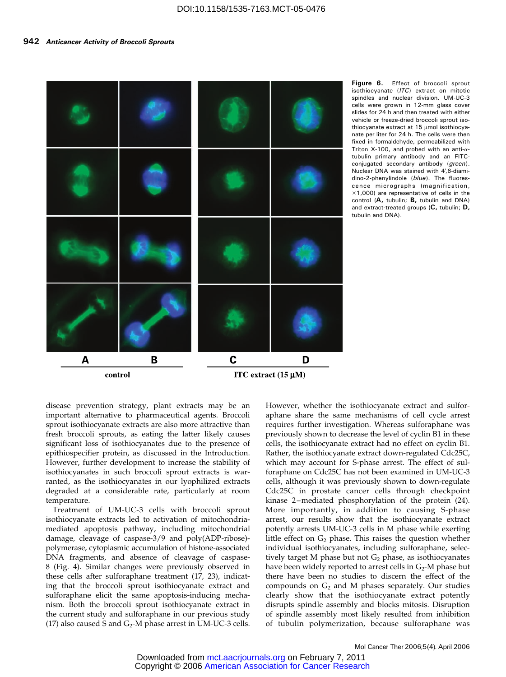

Figure 6. Effect of broccoli sprout isothiocyanate (ITC) extract on mitotic spindles and nuclear division. UM-UC-3 cells were grown in 12-mm glass cover slides for 24 h and then treated with either vehicle or freeze-dried broccoli sprout isothiocyanate extract at  $15 \mu$ mol isothiocyanate per liter for 24 h. The cells were then fixed in formaldehyde, permeabilized with Triton X-100, and probed with an anti- $\alpha$ tubulin primary antibody and an FITCconjugated secondary antibody (green). Nuclear DNA was stained with 4V,6-diamidino-2-phenylindole (blue). The fluorescence micrographs (magnification,  $\times$ 1,000) are representative of cells in the control (A, tubulin; B, tubulin and DNA) and extract-treated groups (C, tubulin; D, tubulin and DNA).

disease prevention strategy, plant extracts may be an important alternative to pharmaceutical agents. Broccoli sprout isothiocyanate extracts are also more attractive than fresh broccoli sprouts, as eating the latter likely causes significant loss of isothiocyanates due to the presence of epithiospecifier protein, as discussed in the Introduction. However, further development to increase the stability of isothiocyanates in such broccoli sprout extracts is warranted, as the isothiocyanates in our lyophilized extracts degraded at a considerable rate, particularly at room temperature.

Treatment of UM-UC-3 cells with broccoli sprout isothiocyanate extracts led to activation of mitochondriamediated apoptosis pathway, including mitochondrial damage, cleavage of caspase-3/9 and poly(ADP-ribose) polymerase, cytoplasmic accumulation of histone-associated DNA fragments, and absence of cleavage of caspase-8 (Fig. 4). Similar changes were previously observed in these cells after sulforaphane treatment (17, 23), indicating that the broccoli sprout isothiocyanate extract and sulforaphane elicit the same apoptosis-inducing mechanism. Both the broccoli sprout isothiocyanate extract in the current study and sulforaphane in our previous study (17) also caused S and  $G_2$ -M phase arrest in UM-UC-3 cells.

However, whether the isothiocyanate extract and sulforaphane share the same mechanisms of cell cycle arrest requires further investigation. Whereas sulforaphane was previously shown to decrease the level of cyclin B1 in these cells, the isothiocyanate extract had no effect on cyclin B1. Rather, the isothiocyanate extract down-regulated Cdc25C, which may account for S-phase arrest. The effect of sulforaphane on Cdc25C has not been examined in UM-UC-3 cells, although it was previously shown to down-regulate Cdc25C in prostate cancer cells through checkpoint kinase 2 –mediated phosphorylation of the protein (24). More importantly, in addition to causing S-phase arrest, our results show that the isothiocyanate extract potently arrests UM-UC-3 cells in M phase while exerting little effect on  $G_2$  phase. This raises the question whether individual isothiocyanates, including sulforaphane, selectively target M phase but not  $G_2$  phase, as isothiocyanates have been widely reported to arrest cells in  $G_2$ -M phase but there have been no studies to discern the effect of the compounds on  $G_2$  and M phases separately. Our studies clearly show that the isothiocyanate extract potently disrupts spindle assembly and blocks mitosis. Disruption of spindle assembly most likely resulted from inhibition of tubulin polymerization, because sulforaphane was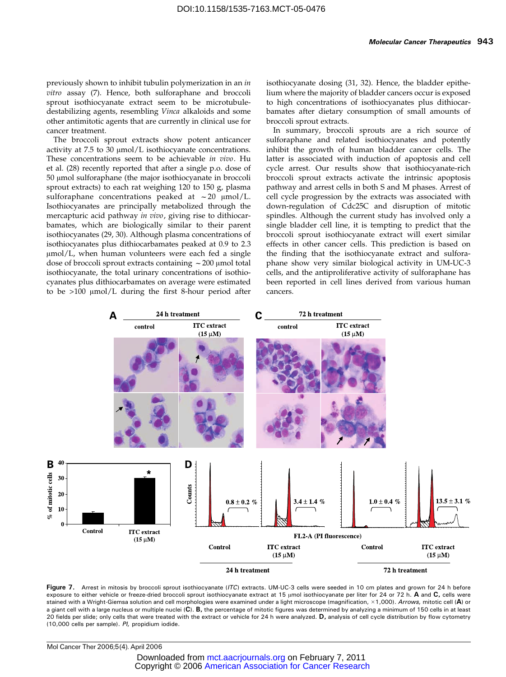previously shown to inhibit tubulin polymerization in an in vitro assay (7). Hence, both sulforaphane and broccoli sprout isothiocyanate extract seem to be microtubuledestabilizing agents, resembling Vinca alkaloids and some other antimitotic agents that are currently in clinical use for cancer treatment.

The broccoli sprout extracts show potent anticancer activity at 7.5 to 30  $\mu$ mol/L isothiocyanate concentrations. These concentrations seem to be achievable in vivo. Hu et al. (28) recently reported that after a single p.o. dose of 50 µmol sulforaphane (the major isothiocyanate in broccoli sprout extracts) to each rat weighing 120 to 150 g, plasma sulforaphane concentrations peaked at  $\sim$  20  $\mu$ mol/L. Isothiocyanates are principally metabolized through the mercapturic acid pathway in vivo, giving rise to dithiocarbamates, which are biologically similar to their parent isothiocyanates (29, 30). Although plasma concentrations of isothiocyanates plus dithiocarbamates peaked at 0.9 to 2.3  $\mu$ mol/L, when human volunteers were each fed a single dose of broccoli sprout extracts containing  $\sim$  200  $\mu$ mol total isothiocyanate, the total urinary concentrations of isothiocyanates plus dithiocarbamates on average were estimated to be  $>100$   $\mu$ mol/L during the first 8-hour period after isothiocyanate dosing (31, 32). Hence, the bladder epithelium where the majority of bladder cancers occur is exposed to high concentrations of isothiocyanates plus dithiocarbamates after dietary consumption of small amounts of broccoli sprout extracts.

In summary, broccoli sprouts are a rich source of sulforaphane and related isothiocyanates and potently inhibit the growth of human bladder cancer cells. The latter is associated with induction of apoptosis and cell cycle arrest. Our results show that isothiocyanate-rich broccoli sprout extracts activate the intrinsic apoptosis pathway and arrest cells in both S and M phases. Arrest of cell cycle progression by the extracts was associated with down-regulation of Cdc25C and disruption of mitotic spindles. Although the current study has involved only a single bladder cell line, it is tempting to predict that the broccoli sprout isothiocyanate extract will exert similar effects in other cancer cells. This prediction is based on the finding that the isothiocyanate extract and sulforaphane show very similar biological activity in UM-UC-3 cells, and the antiproliferative activity of sulforaphane has been reported in cell lines derived from various human cancers.



Figure 7. Arrest in mitosis by broccoli sprout isothiocyanate (ITC) extracts. UM-UC-3 cells were seeded in 10 cm plates and grown for 24 h before exposure to either vehicle or freeze-dried broccoli sprout isothiocyanate extract at 15 umol isothiocyanate per liter for 24 or 72 h. A and C, cells were stained with a Wright-Giemsa solution and cell morphologies were examined under a light microscope (magnification, ×1,000). *Arrows,* mitotic cell (**A**) or a giant cell with a large nucleus or multiple nuclei (C). B, the percentage of mitotic figures was determined by analyzing a minimum of 150 cells in at least 20 fields per slide; only cells that were treated with the extract or vehicle for 24 h were analyzed. D, analysis of cell cycle distribution by flow cytometry (10,000 cells per sample). PI, propidium iodide.

Mol Cancer Ther 2006;5(4). April 2006

 Copyright © 2006 American Association for Cancer Research Downloaded fro[m mct.aacrjournals.org on February 7, 2011](http://www.aacr.org/)